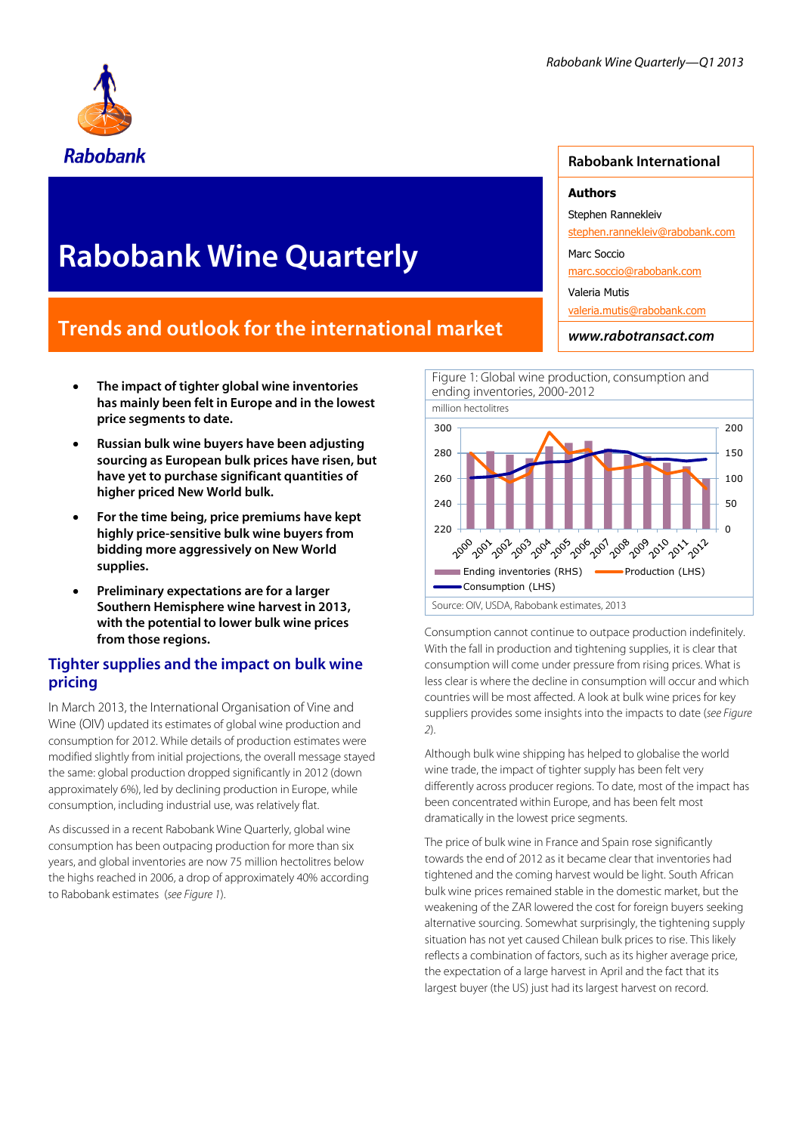

# **Rabobank Wine Quarterly**

## **Trends and outlook for the international market**

- **The impact of tighter global wine inventories has mainly been felt in Europe and in the lowest price segments to date.**
- **Russian bulk wine buyers have been adjusting sourcing as European bulk prices have risen, but have yet to purchase significant quantities of higher priced New World bulk.**
- **For the time being, price premiums have kept highly price-sensitive bulk wine buyers from bidding more aggressively on New World supplies.**
- **Preliminary expectations are for a larger Southern Hemisphere wine harvest in 2013, with the potential to lower bulk wine prices from those regions.**

## **Tighter supplies and the impact on bulk wine pricing**

In March 2013, the International Organisation of Vine and Wine (OIV) updated its estimates of global wine production and consumption for 2012. While details of production estimates were modified slightly from initial projections, the overall message stayed the same: global production dropped significantly in 2012 (down approximately 6%), led by declining production in Europe, while consumption, including industrial use, was relatively flat.

As discussed in a recent Rabobank Wine Quarterly, global wine consumption has been outpacing production for more than six years, and global inventories are now 75 million hectolitres below the highs reached in 2006, a drop of approximately 40% according to Rabobank estimates (*see Figure 1*).

## **Rabobank International**

#### **Authors**

Stephen Rannekleiv

stephen.rannekleiv@rabobank.com

Marc Soccio

marc.soccio@rabobank.com

Valeria Mutis

valeria.mutis@rabobank.com

*www.rabotransact.com*



Consumption cannot continue to outpace production indefinitely. With the fall in production and tightening supplies, it is clear that consumption will come under pressure from rising prices. What is less clear is where the decline in consumption will occur and which countries will be most affected. A look at bulk wine prices for key suppliers provides some insights into the impacts to date (*see Figure 2*).

Although bulk wine shipping has helped to globalise the world wine trade, the impact of tighter supply has been felt very differently across producer regions. To date, most of the impact has been concentrated within Europe, and has been felt most dramatically in the lowest price segments.

The price of bulk wine in France and Spain rose significantly towards the end of 2012 as it became clear that inventories had tightened and the coming harvest would be light. South African bulk wine prices remained stable in the domestic market, but the weakening of the ZAR lowered the cost for foreign buyers seeking alternative sourcing. Somewhat surprisingly, the tightening supply situation has not yet caused Chilean bulk prices to rise. This likely reflects a combination of factors, such as its higher average price, the expectation of a large harvest in April and the fact that its largest buyer (the US) just had its largest harvest on record.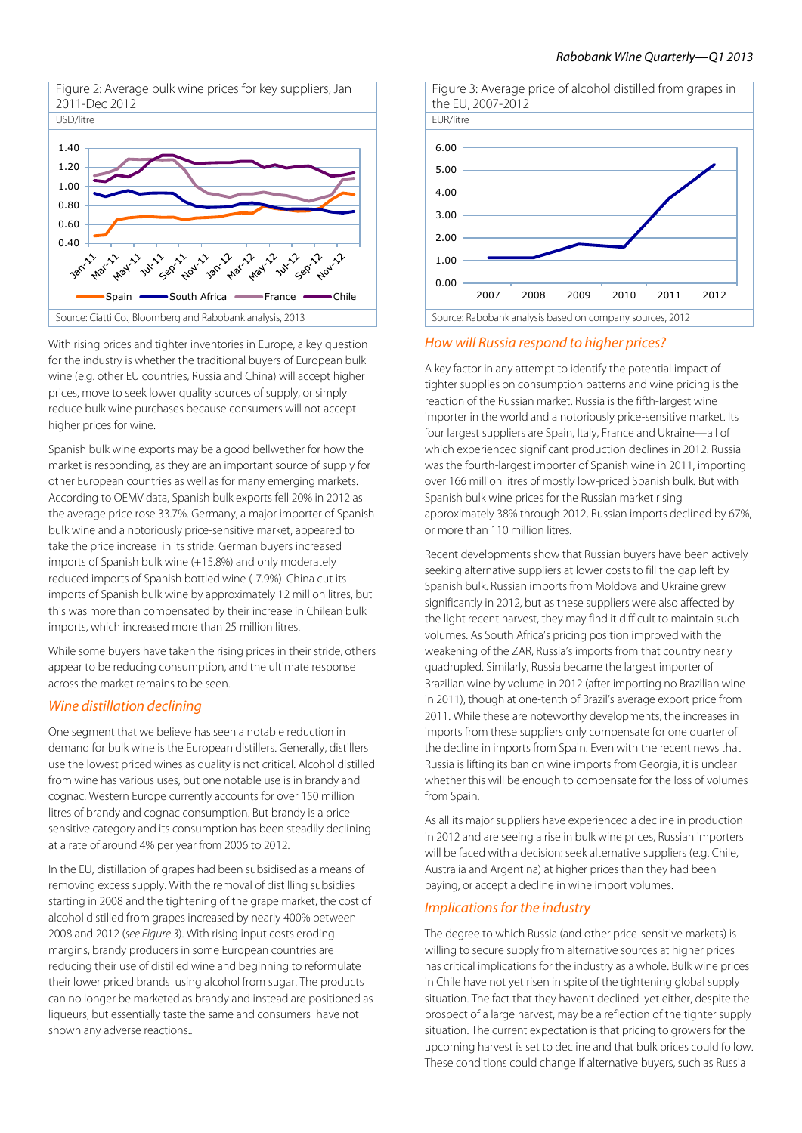

With rising prices and tighter inventories in Europe, a key question for the industry is whether the traditional buyers of European bulk wine (e.g. other EU countries, Russia and China) will accept higher prices, move to seek lower quality sources of supply, or simply reduce bulk wine purchases because consumers will not accept higher prices for wine.

Spanish bulk wine exports may be a good bellwether for how the market is responding, as they are an important source of supply for other European countries as well as for many emerging markets. According to OEMV data, Spanish bulk exports fell 20% in 2012 as the average price rose 33.7%. Germany, a major importer of Spanish bulk wine and a notoriously price-sensitive market, appeared to take the price increase in its stride. German buyers increased imports of Spanish bulk wine (+15.8%) and only moderately reduced imports of Spanish bottled wine (-7.9%). China cut its imports of Spanish bulk wine by approximately 12 million litres, but this was more than compensated by their increase in Chilean bulk imports, which increased more than 25 million litres.

While some buyers have taken the rising prices in their stride, others appear to be reducing consumption, and the ultimate response across the market remains to be seen.

#### *Wine distillation declining*

One segment that we believe has seen a notable reduction in demand for bulk wine is the European distillers. Generally, distillers use the lowest priced wines as quality is not critical. Alcohol distilled from wine has various uses, but one notable use is in brandy and cognac. Western Europe currently accounts for over 150 million litres of brandy and cognac consumption. But brandy is a pricesensitive category and its consumption has been steadily declining at a rate of around 4% per year from 2006 to 2012.

In the EU, distillation of grapes had been subsidised as a means of removing excess supply. With the removal of distilling subsidies starting in 2008 and the tightening of the grape market, the cost of alcohol distilled from grapes increased by nearly 400% between 2008 and 2012 (*see Figure 3*). With rising input costs eroding margins, brandy producers in some European countries are reducing their use of distilled wine and beginning to reformulate their lower priced brands using alcohol from sugar. The products can no longer be marketed as brandy and instead are positioned as liqueurs, but essentially taste the same and consumers have not shown any adverse reactions..



*How will Russia respond to higher prices?*

A key factor in any attempt to identify the potential impact of tighter supplies on consumption patterns and wine pricing is the reaction of the Russian market. Russia is the fifth-largest wine importer in the world and a notoriously price-sensitive market. Its four largest suppliers are Spain, Italy, France and Ukraine—all of which experienced significant production declines in 2012. Russia was the fourth-largest importer of Spanish wine in 2011, importing over 166 million litres of mostly low-priced Spanish bulk. But with Spanish bulk wine prices for the Russian market rising approximately 38% through 2012, Russian imports declined by 67%. or more than 110 million litres.

Recent developments show that Russian buyers have been actively seeking alternative suppliers at lower costs to fill the gap left by Spanish bulk. Russian imports from Moldova and Ukraine grew significantly in 2012, but as these suppliers were also affected by the light recent harvest, they may find it difficult to maintain such volumes. As South Africa's pricing position improved with the weakening of the ZAR, Russia's imports from that country nearly quadrupled. Similarly, Russia became the largest importer of Brazilian wine by volume in 2012 (after importing no Brazilian wine in 2011), though at one-tenth of Brazil's average export price from 2011. While these are noteworthy developments, the increases in imports from these suppliers only compensate for one quarter of the decline in imports from Spain. Even with the recent news that Russia is lifting its ban on wine imports from Georgia, it is unclear whether this will be enough to compensate for the loss of volumes from Spain.

As all its major suppliers have experienced a decline in production in 2012 and are seeing a rise in bulk wine prices, Russian importers will be faced with a decision: seek alternative suppliers (e.g. Chile, Australia and Argentina) at higher prices than they had been paying, or accept a decline in wine import volumes.

## *Implications for the industry*

The degree to which Russia (and other price-sensitive markets) is willing to secure supply from alternative sources at higher prices has critical implications for the industry as a whole. Bulk wine prices in Chile have not yet risen in spite of the tightening global supply situation. The fact that they haven't declined yet either, despite the prospect of a large harvest, may be a reflection of the tighter supply situation. The current expectation is that pricing to growers for the upcoming harvest is set to decline and that bulk prices could follow. These conditions could change if alternative buyers, such as Russia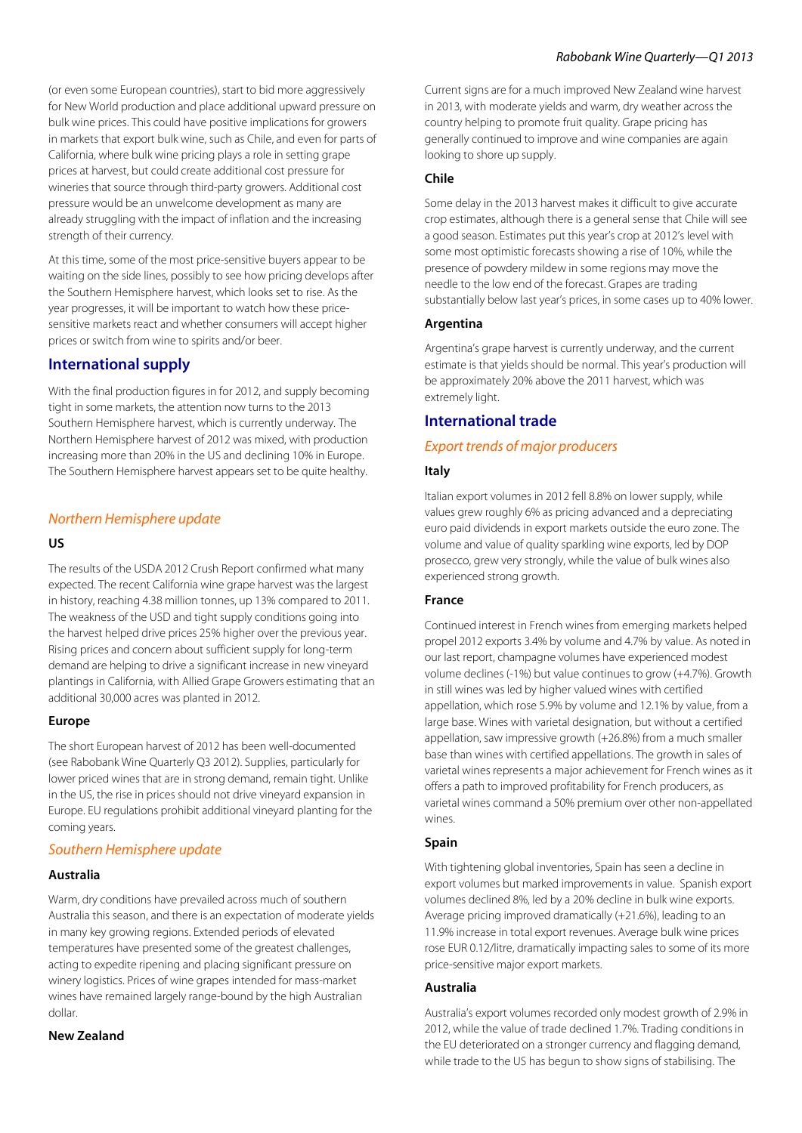(or even some European countries), start to bid more aggressively for New World production and place additional upward pressure on bulk wine prices. This could have positive implications for growers in markets that export bulk wine, such as Chile, and even for parts of California, where bulk wine pricing plays a role in setting grape prices at harvest, but could create additional cost pressure for wineries that source through third-party growers. Additional cost pressure would be an unwelcome development as many are already struggling with the impact of inflation and the increasing strength of their currency.

At this time, some of the most price-sensitive buyers appear to be waiting on the side lines, possibly to see how pricing develops after the Southern Hemisphere harvest, which looks set to rise. As the year progresses, it will be important to watch how these pricesensitive markets react and whether consumers will accept higher prices or switch from wine to spirits and/or beer.

## **International supply**

With the final production figures in for 2012, and supply becoming tight in some markets, the attention now turns to the 2013 Southern Hemisphere harvest, which is currently underway. The Northern Hemisphere harvest of 2012 was mixed, with production increasing more than 20% in the US and declining 10% in Europe. The Southern Hemisphere harvest appears set to be quite healthy.

## *Northern Hemisphere update*

#### **US**

The results of the USDA 2012 Crush Report confirmed what many expected. The recent California wine grape harvest was the largest in history, reaching 4.38 million tonnes, up 13% compared to 2011. The weakness of the USD and tight supply conditions going into the harvest helped drive prices 25% higher over the previous year. Rising prices and concern about sufficient supply for long-term demand are helping to drive a significant increase in new vineyard plantings in California, with Allied Grape Growers estimating that an additional 30,000 acres was planted in 2012.

## **Europe**

The short European harvest of 2012 has been well-documented (see *Rabobank Wine Quarterly Q3 2012*). Supplies, particularly for lower priced wines that are in strong demand, remain tight. Unlike in the US, the rise in prices should not drive vineyard expansion in Europe. EU regulations prohibit additional vineyard planting for the coming years.

## *Southern Hemisphere update*

## **Australia**

Warm, dry conditions have prevailed across much of southern Australia this season, and there is an expectation of moderate yields in many key growing regions. Extended periods of elevated temperatures have presented some of the greatest challenges, acting to expedite ripening and placing significant pressure on winery logistics. Prices of wine grapes intended for mass-market wines have remained largely range-bound by the high Australian dollar.

## **New Zealand**

Current signs are for a much improved New Zealand wine harvest in 2013, with moderate yields and warm, dry weather across the country helping to promote fruit quality. Grape pricing has generally continued to improve and wine companies are again looking to shore up supply.

## **Chile**

Some delay in the 2013 harvest makes it difficult to give accurate crop estimates, although there is a general sense that Chile will see a good season. Estimates put this year's crop at 2012's level with some most optimistic forecasts showing a rise of 10%, while the presence of powdery mildew in some regions may move the needle to the low end of the forecast. Grapes are trading substantially below last year's prices, in some cases up to 40% lower.

## **Argentina**

Argentina's grape harvest is currently underway, and the current estimate is that yields should be normal. This year's production will be approximately 20% above the 2011 harvest, which was extremely light.

## **International trade**

## *Export trends of major producers*

## **Italy**

Italian export volumes in 2012 fell 8.8% on lower supply, while values grew roughly 6% as pricing advanced and a depreciating euro paid dividends in export markets outside the euro zone. The volume and value of quality sparkling wine exports, led by DOP prosecco, grew very strongly, while the value of bulk wines also experienced strong growth.

## **France**

Continued interest in French wines from emerging markets helped propel 2012 exports 3.4% by volume and 4.7% by value. As noted in our last report, champagne volumes have experienced modest volume declines (-1%) but value continues to grow (+4.7%). Growth in still wines was led by higher valued wines with certified appellation, which rose 5.9% by volume and 12.1% by value, from a large base. Wines with varietal designation, but without a certified appellation, saw impressive growth (+26.8%) from a much smaller base than wines with certified appellations. The growth in sales of varietal wines represents a major achievement for French wines as it offers a path to improved profitability for French producers, as varietal wines command a 50% premium over other non-appellated wines.

## **Spain**

With tightening global inventories, Spain has seen a decline in export volumes but marked improvements in value. Spanish export volumes declined 8%, led by a 20% decline in bulk wine exports. Average pricing improved dramatically (+21.6%), leading to an 11.9% increase in total export revenues. Average bulk wine prices rose EUR 0.12/litre, dramatically impacting sales to some of its more price-sensitive major export markets.

## **Australia**

Australia's export volumes recorded only modest growth of 2.9% in 2012, while the value of trade declined 1.7%. Trading conditions in the EU deteriorated on a stronger currency and flagging demand, while trade to the US has begun to show signs of stabilising. The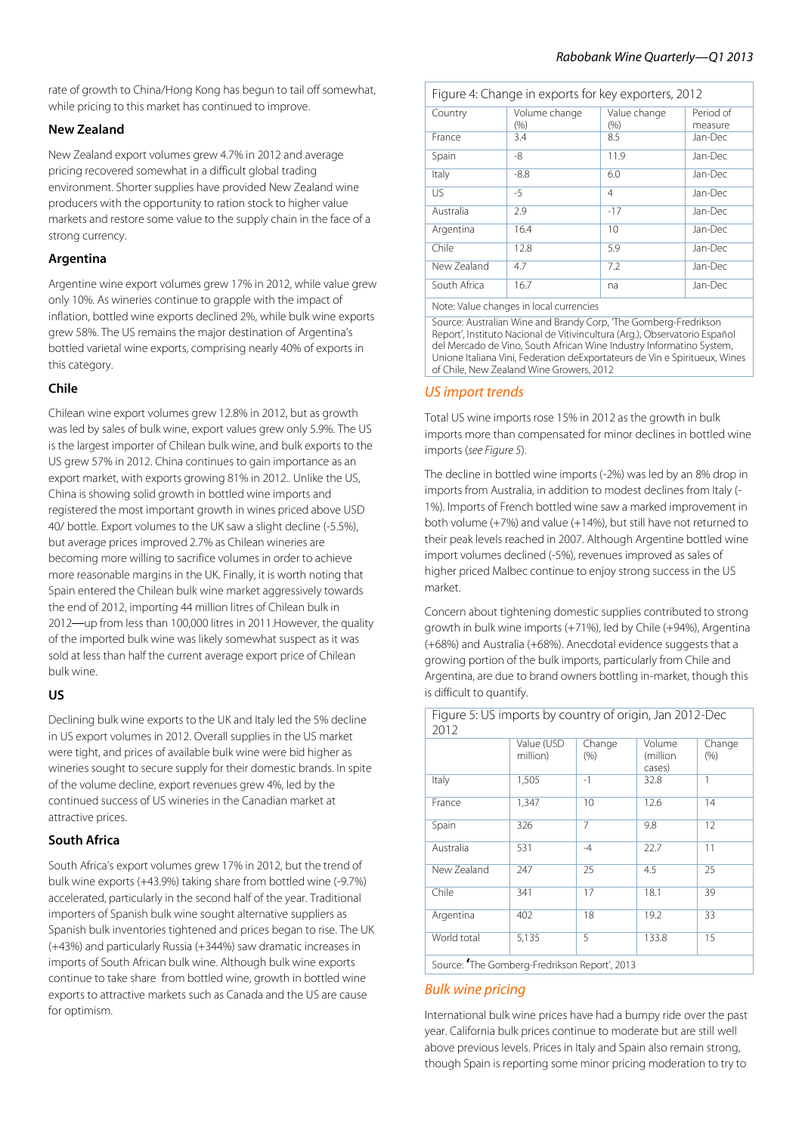rate of growth to China/Hong Kong has begun to tail off somewhat, while pricing to this market has continued to improve.

## **New Zealand**

New Zealand export volumes grew 4.7% in 2012 and average pricing recovered somewhat in a difficult global trading environment. Shorter supplies have provided New Zealand wine producers with the opportunity to ration stock to higher value markets and restore some value to the supply chain in the face of a strong currency.

#### **Argentina**

Argentine wine export volumes grew 17% in 2012, while value grew only 10%. As wineries continue to grapple with the impact of inflation, bottled wine exports declined 2%, while bulk wine exports grew 58%. The US remains the major destination of Argentina's bottled varietal wine exports, comprising nearly 40% of exports in this category.

#### **Chile**

Chilean wine export volumes grew 12.8% in 2012, but as growth was led by sales of bulk wine, export values grew only 5.9%. The US is the largest importer of Chilean bulk wine, and bulk exports to the US grew 57% in 2012. China continues to gain importance as an export market, with exports growing 81% in 2012.. Unlike the US, China is showing solid growth in bottled wine imports and registered the most important growth in wines priced above USD 40/ bottle. Export volumes to the UK saw a slight decline (-5.5%), but average prices improved 2.7% as Chilean wineries are becoming more willing to sacrifice volumes in order to achieve more reasonable margins in the UK. Finally, it is worth noting that Spain entered the Chilean bulk wine market aggressively towards the end of 2012, importing 44 million litres of Chilean bulk in 2012—up from less than 100,000 litres in 2011.However, the quality of the imported bulk wine was likely somewhat suspect as it was sold at less than half the current average export price of Chilean bulk wine.

## **US**

Declining bulk wine exports to the UK and Italy led the 5% decline in US export volumes in 2012. Overall supplies in the US market were tight, and prices of available bulk wine were bid higher as wineries sought to secure supply for their domestic brands. In spite of the volume decline, export revenues grew 4%, led by the continued success of US wineries in the Canadian market at attractive prices.

## **South Africa**

South Africa's export volumes grew 17% in 2012, but the trend of bulk wine exports (+43.9%) taking share from bottled wine (-9.7%) accelerated, particularly in the second half of the year. Traditional importers of Spanish bulk wine sought alternative suppliers as Spanish bulk inventories tightened and prices began to rise. The UK (+43%) and particularly Russia (+344%) saw dramatic increases in imports of South African bulk wine. Although bulk wine exports continue to take share from bottled wine, growth in bottled wine exports to attractive markets such as Canada and the US are cause for optimism.

|  |  |  | Figure 4: Change in exports for key exporters, 2012 |  |
|--|--|--|-----------------------------------------------------|--|
|  |  |  |                                                     |  |

| Country         | Volume change<br>$(\% )$ | Value change<br>(% ) | Period of<br>measure |
|-----------------|--------------------------|----------------------|----------------------|
| France          | 3.4                      | 8.5                  | Jan-Dec              |
| Spain           | -8                       | 11.9                 | Jan-Dec              |
| Italy           | $-8.8$                   | 6.0                  | Jan-Dec              |
| $\overline{US}$ | $-5$                     | 4                    | Jan-Dec              |
| Australia       | 2.9                      | $-17$                | Jan-Dec              |
| Argentina       | 16.4                     | 10                   | Jan-Dec              |
| Chile           | 12.8                     | 5.9                  | Jan-Dec              |
| New Zealand     | 4.7                      | 7.2                  | Jan-Dec              |
| South Africa    | 16.7                     | na                   | Jan-Dec              |
|                 |                          |                      |                      |

Note: Value changes in local currencies

Source: Australian Wine and Brandy Corp, 'The Gomberg-Fredrikson Report', Instituto Nacional de Vitivincultura (Arg.), Observatorio Español del Mercado de Vino, South African Wine Industry Informatino System, Unione Italiana Vini, Federation deExportateurs de Vin e Spiritueux, Wines of Chile, New Zealand Wine Growers, 2012

## *US import trends*

Total US wine imports rose 15% in 2012 as the growth in bulk imports more than compensated for minor declines in bottled wine imports (*see Figure 5*).

The decline in bottled wine imports (-2%) was led by an 8% drop in imports from Australia, in addition to modest declines from Italy (- 1%). Imports of French bottled wine saw a marked improvement in both volume (+7%) and value (+14%), but still have not returned to their peak levels reached in 2007. Although Argentine bottled wine import volumes declined (-5%), revenues improved as sales of higher priced Malbec continue to enjoy strong success in the US market.

Concern about tightening domestic supplies contributed to strong growth in bulk wine imports (+71%), led by Chile (+94%), Argentina (+68%) and Australia (+68%). Anecdotal evidence suggests that a growing portion of the bulk imports, particularly from Chile and Argentina, are due to brand owners bottling in-market, though this is difficult to quantify.

Figure 5: US imports by country of origin, Jan 2012-Dec วกับว

| ∠∪⊥∠        |                        |                |                              |                |  |  |  |
|-------------|------------------------|----------------|------------------------------|----------------|--|--|--|
|             | Value (USD<br>million) | Change<br>(% ) | Volume<br>(million<br>cases) | Change<br>(96) |  |  |  |
| Italy       | 1,505                  | $-1$           | 32.8                         | 1              |  |  |  |
| France      | 1,347                  | 10             | 12.6                         | 14             |  |  |  |
| Spain       | 326                    | 7              | 9.8                          | 12             |  |  |  |
| Australia   | 531                    | $-4$           | 22.7                         | 11             |  |  |  |
| New Zealand | 247                    | 25             | 4.5                          | 25             |  |  |  |
| Chile       | 341                    | 17             | 18.1                         | 39             |  |  |  |
| Argentina   | 402                    | 18             | 19.2                         | 33             |  |  |  |
| World total | 5,135                  | 5              | 133.8                        | 15             |  |  |  |
|             |                        |                |                              |                |  |  |  |

Source**: '**The Gomberg-Fredrikson Report', 2013

## *Bulk wine pricing*

International bulk wine prices have had a bumpy ride over the past year. California bulk prices continue to moderate but are still well above previous levels. Prices in Italy and Spain also remain strong, though Spain is reporting some minor pricing moderation to try to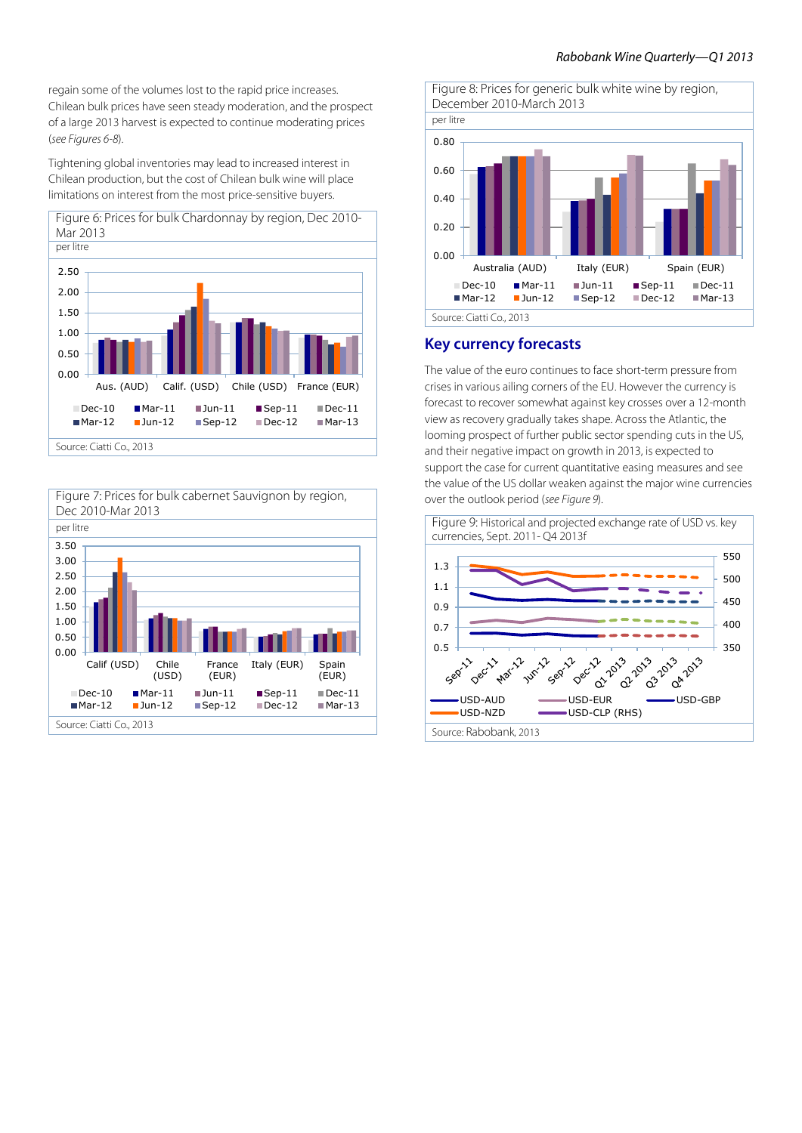regain some of the volumes lost to the rapid price increases. Chilean bulk prices have seen steady moderation, and the prospect of a large 2013 harvest is expected to continue moderating prices (*see Figures 6-8*).

Tightening global inventories may lead to increased interest in Chilean production, but the cost of Chilean bulk wine will place limitations on interest from the most price-sensitive buyers.







**Key currency forecasts**

The value of the euro continues to face short-term pressure from crises in various ailing corners of the EU. However the currency is forecast to recover somewhat against key crosses over a 12-month view as recovery gradually takes shape. Across the Atlantic, the looming prospect of further public sector spending cuts in the US, and their negative impact on growth in 2013, is expected to support the case for current quantitative easing measures and see the value of the US dollar weaken against the major wine currencies over the outlook period (*see Figure 9*).